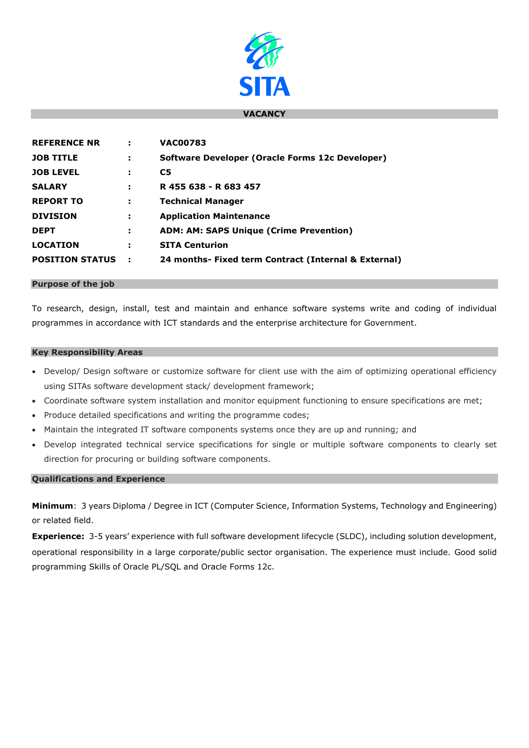

### **VACANCY**

| <b>REFERENCE NR</b>    | ÷   | <b>VAC00783</b>                                      |
|------------------------|-----|------------------------------------------------------|
| <b>JOB TITLE</b>       | ÷   | Software Developer (Oracle Forms 12c Developer)      |
| <b>JOB LEVEL</b>       | х   | C <sub>5</sub>                                       |
| <b>SALARY</b>          | н   | R 455 638 - R 683 457                                |
| <b>REPORT TO</b>       | н   | <b>Technical Manager</b>                             |
| <b>DIVISION</b>        | н   | <b>Application Maintenance</b>                       |
| <b>DEPT</b>            | н   | <b>ADM: AM: SAPS Unique (Crime Prevention)</b>       |
| <b>LOCATION</b>        | н   | <b>SITA Centurion</b>                                |
| <b>POSITION STATUS</b> | - 2 | 24 months- Fixed term Contract (Internal & External) |

### **Purpose of the job**

To research, design, install, test and maintain and enhance software systems write and coding of individual programmes in accordance with ICT standards and the enterprise architecture for Government.

## **Key Responsibility Areas**

- Develop/ Design software or customize software for client use with the aim of optimizing operational efficiency using SITAs software development stack/ development framework;
- Coordinate software system installation and monitor equipment functioning to ensure specifications are met;
- Produce detailed specifications and writing the programme codes;
- Maintain the integrated IT software components systems once they are up and running; and
- Develop integrated technical service specifications for single or multiple software components to clearly set direction for procuring or building software components.

# **Qualifications and Experience**

**Minimum**: 3 years Diploma / Degree in ICT (Computer Science, Information Systems, Technology and Engineering) or related field.

**Experience:** 3-5 years' experience with full software development lifecycle (SLDC), including solution development, operational responsibility in a large corporate/public sector organisation. The experience must include. Good solid programming Skills of Oracle PL/SQL and Oracle Forms 12c.